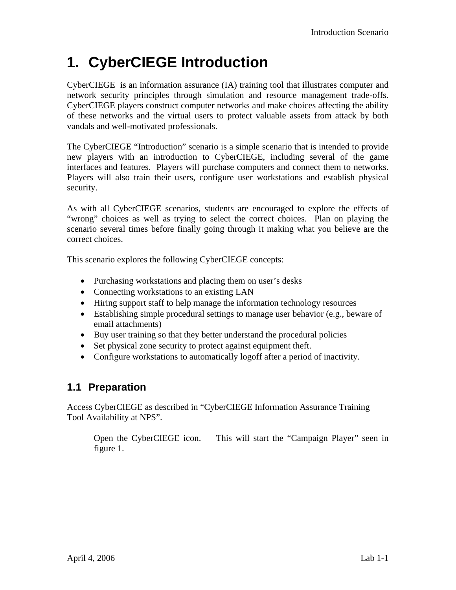## **1. CyberCIEGE Introduction**

CyberCIEGE is an information assurance (IA) training tool that illustrates computer and network security principles through simulation and resource management trade-offs. CyberCIEGE players construct computer networks and make choices affecting the ability of these networks and the virtual users to protect valuable assets from attack by both vandals and well-motivated professionals.

The CyberCIEGE "Introduction" scenario is a simple scenario that is intended to provide new players with an introduction to CyberCIEGE, including several of the game interfaces and features. Players will purchase computers and connect them to networks. Players will also train their users, configure user workstations and establish physical security.

As with all CyberCIEGE scenarios, students are encouraged to explore the effects of "wrong" choices as well as trying to select the correct choices. Plan on playing the scenario several times before finally going through it making what you believe are the correct choices.

This scenario explores the following CyberCIEGE concepts:

- Purchasing workstations and placing them on user's desks
- Connecting workstations to an existing LAN
- Hiring support staff to help manage the information technology resources
- Establishing simple procedural settings to manage user behavior (e.g., beware of email attachments)
- Buy user training so that they better understand the procedural policies
- Set physical zone security to protect against equipment theft.
- Configure workstations to automatically logoff after a period of inactivity.

### **1.1 Preparation**

Access CyberCIEGE as described in "CyberCIEGE Information Assurance Training Tool Availability at NPS".

Open the CyberCIEGE icon. This will start the "Campaign Player" seen in figure 1.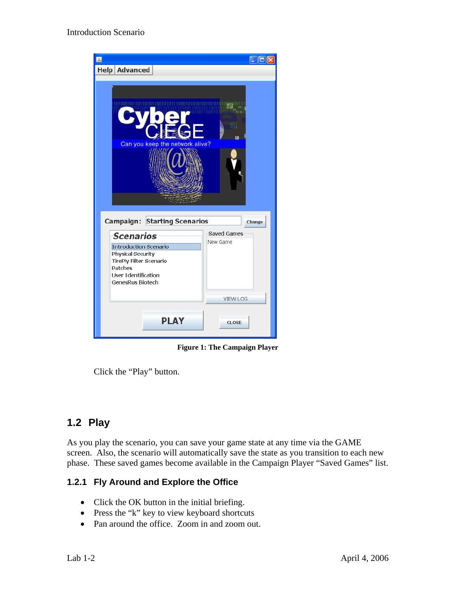

**Figure 1: The Campaign Player** 

Click the "Play" button.

## **1.2 Play**

As you play the scenario, you can save your game state at any time via the GAME screen. Also, the scenario will automatically save the state as you transition to each new phase. These saved games become available in the Campaign Player "Saved Games" list.

#### **1.2.1 Fly Around and Explore the Office**

- Click the OK button in the initial briefing.
- Press the "k" key to view keyboard shortcuts
- Pan around the office. Zoom in and zoom out.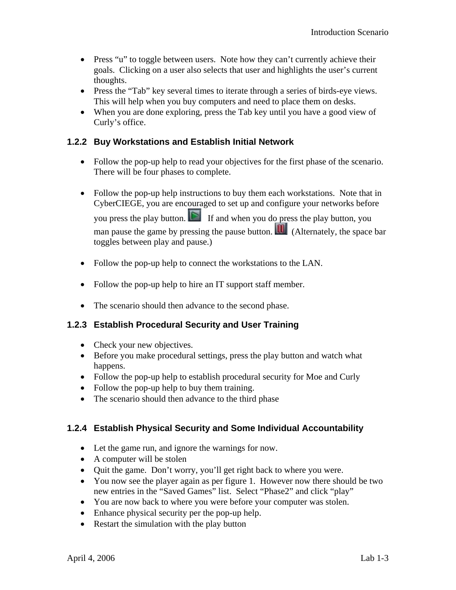- Press "u" to toggle between users. Note how they can't currently achieve their goals. Clicking on a user also selects that user and highlights the user's current thoughts.
- Press the "Tab" key several times to iterate through a series of birds-eye views. This will help when you buy computers and need to place them on desks.
- When you are done exploring, press the Tab key until you have a good view of Curly's office.

#### **1.2.2 Buy Workstations and Establish Initial Network**

- Follow the pop-up help to read your objectives for the first phase of the scenario. There will be four phases to complete.
- Follow the pop-up help instructions to buy them each workstations. Note that in CyberCIEGE, you are encouraged to set up and configure your networks before you press the play button.  $\Box$  If and when you do press the play button, you man pause the game by pressing the pause button. **III** (Alternately, the space bar toggles between play and pause.)
- Follow the pop-up help to connect the workstations to the LAN.
- Follow the pop-up help to hire an IT support staff member.
- The scenario should then advance to the second phase.

#### **1.2.3 Establish Procedural Security and User Training**

- Check your new objectives.
- Before you make procedural settings, press the play button and watch what happens.
- Follow the pop-up help to establish procedural security for Moe and Curly
- Follow the pop-up help to buy them training.
- The scenario should then advance to the third phase

#### **1.2.4 Establish Physical Security and Some Individual Accountability**

- Let the game run, and ignore the warnings for now.
- A computer will be stolen
- Quit the game. Don't worry, you'll get right back to where you were.
- You now see the player again as per figure 1. However now there should be two new entries in the "Saved Games" list. Select "Phase2" and click "play"
- You are now back to where you were before your computer was stolen.
- Enhance physical security per the pop-up help.
- Restart the simulation with the play button